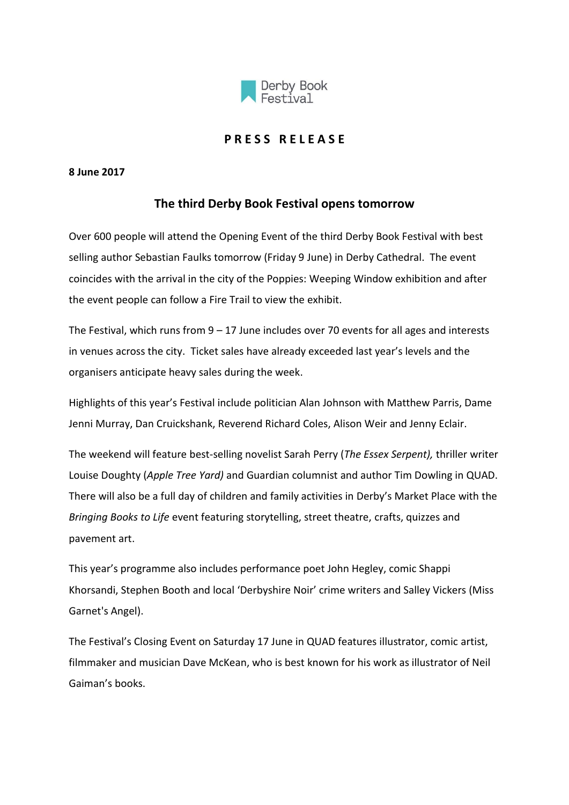

## **P R E S S R E L E A S E**

## **8 June 2017**

## **The third Derby Book Festival opens tomorrow**

Over 600 people will attend the Opening Event of the third Derby Book Festival with best selling author Sebastian Faulks tomorrow (Friday 9 June) in Derby Cathedral. The event coincides with the arrival in the city of the Poppies: Weeping Window exhibition and after the event people can follow a Fire Trail to view the exhibit.

The Festival, which runs from  $9 - 17$  June includes over 70 events for all ages and interests in venues across the city. Ticket sales have already exceeded last year's levels and the organisers anticipate heavy sales during the week.

Highlights of this year's Festival include politician Alan Johnson with Matthew Parris, Dame Jenni Murray, Dan Cruickshank, Reverend Richard Coles, Alison Weir and Jenny Eclair.

The weekend will feature best-selling novelist Sarah Perry (*The Essex Serpent),* thriller writer Louise Doughty (*Apple Tree Yard)* and Guardian columnist and author Tim Dowling in QUAD. There will also be a full day of children and family activities in Derby's Market Place with the *Bringing Books to Life* event featuring storytelling, street theatre, crafts, quizzes and pavement art.

This year's programme also includes performance poet John Hegley, comic Shappi Khorsandi, Stephen Booth and local 'Derbyshire Noir' crime writers and Salley Vickers (Miss Garnet's Angel).

The Festival's Closing Event on Saturday 17 June in QUAD features illustrator, comic artist, filmmaker and musician Dave McKean, who is best known for his work as illustrator of Neil Gaiman's books.